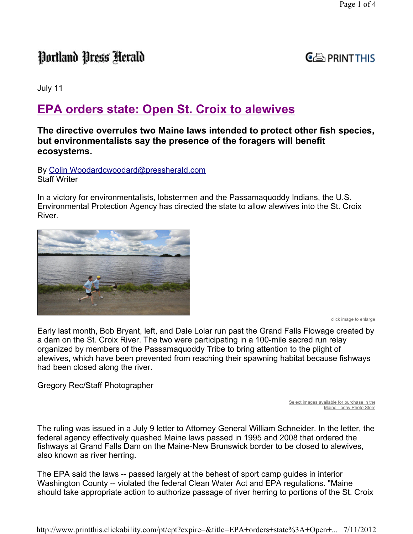# Portland Press Herald

### $G \oplus$  PRINT THIS

July 11

## EPA orders state: Open St. Croix to alewives

#### The directive overrules two Maine laws intended to protect other fish species, but environmentalists say the presence of the foragers will benefit ecosystems.

By Colin Woodardcwoodard@pressherald.com Staff Writer

In a victory for environmentalists, lobstermen and the Passamaquoddy Indians, the U.S. Environmental Protection Agency has directed the state to allow alewives into the St. Croix River.



click image to enlarge

Early last month, Bob Bryant, left, and Dale Lolar run past the Grand Falls Flowage created by a dam on the St. Croix River. The two were participating in a 100-mile sacred run relay organized by members of the Passamaquoddy Tribe to bring attention to the plight of alewives, which have been prevented from reaching their spawning habitat because fishways had been closed along the river.

Gregory Rec/Staff Photographer

Select images available for purchase in the Maine Today Photo Store

The ruling was issued in a July 9 letter to Attorney General William Schneider. In the letter, the federal agency effectively quashed Maine laws passed in 1995 and 2008 that ordered the fishways at Grand Falls Dam on the Maine-New Brunswick border to be closed to alewives, also known as river herring.

The EPA said the laws -- passed largely at the behest of sport camp guides in interior Washington County -- violated the federal Clean Water Act and EPA regulations. "Maine should take appropriate action to authorize passage of river herring to portions of the St. Croix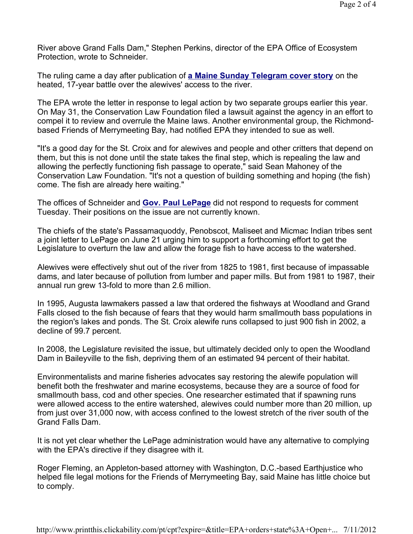River above Grand Falls Dam," Stephen Perkins, director of the EPA Office of Ecosystem Protection, wrote to Schneider.

The ruling came a day after publication of a Maine Sunday Telegram cover story on the heated, 17-year battle over the alewives' access to the river.

The EPA wrote the letter in response to legal action by two separate groups earlier this year. On May 31, the Conservation Law Foundation filed a lawsuit against the agency in an effort to compel it to review and overrule the Maine laws. Another environmental group, the Richmondbased Friends of Merrymeeting Bay, had notified EPA they intended to sue as well.

"It's a good day for the St. Croix and for alewives and people and other critters that depend on them, but this is not done until the state takes the final step, which is repealing the law and allowing the perfectly functioning fish passage to operate," said Sean Mahoney of the Conservation Law Foundation. "It's not a question of building something and hoping (the fish) come. The fish are already here waiting."

The offices of Schneider and **Gov. Paul LePage** did not respond to requests for comment Tuesday. Their positions on the issue are not currently known.

The chiefs of the state's Passamaquoddy, Penobscot, Maliseet and Micmac Indian tribes sent a joint letter to LePage on June 21 urging him to support a forthcoming effort to get the Legislature to overturn the law and allow the forage fish to have access to the watershed.

Alewives were effectively shut out of the river from 1825 to 1981, first because of impassable dams, and later because of pollution from lumber and paper mills. But from 1981 to 1987, their annual run grew 13-fold to more than 2.6 million.

In 1995, Augusta lawmakers passed a law that ordered the fishways at Woodland and Grand Falls closed to the fish because of fears that they would harm smallmouth bass populations in the region's lakes and ponds. The St. Croix alewife runs collapsed to just 900 fish in 2002, a decline of 99.7 percent.

In 2008, the Legislature revisited the issue, but ultimately decided only to open the Woodland Dam in Baileyville to the fish, depriving them of an estimated 94 percent of their habitat.

Environmentalists and marine fisheries advocates say restoring the alewife population will benefit both the freshwater and marine ecosystems, because they are a source of food for smallmouth bass, cod and other species. One researcher estimated that if spawning runs were allowed access to the entire watershed, alewives could number more than 20 million, up from just over 31,000 now, with access confined to the lowest stretch of the river south of the Grand Falls Dam.

It is not yet clear whether the LePage administration would have any alternative to complying with the EPA's directive if they disagree with it.

Roger Fleming, an Appleton-based attorney with Washington, D.C.-based Earthjustice who helped file legal motions for the Friends of Merrymeeting Bay, said Maine has little choice but to comply.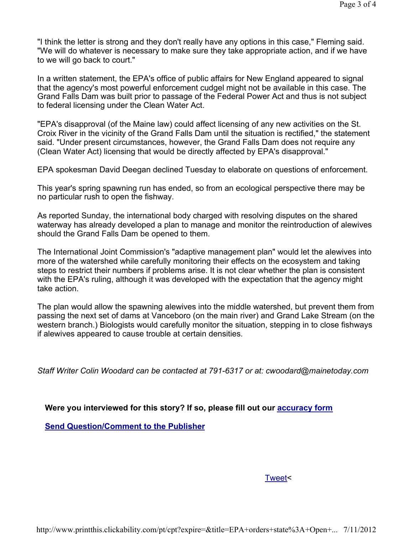"I think the letter is strong and they don't really have any options in this case," Fleming said. "We will do whatever is necessary to make sure they take appropriate action, and if we have to we will go back to court."

In a written statement, the EPA's office of public affairs for New England appeared to signal that the agency's most powerful enforcement cudgel might not be available in this case. The Grand Falls Dam was built prior to passage of the Federal Power Act and thus is not subject to federal licensing under the Clean Water Act.

"EPA's disapproval (of the Maine law) could affect licensing of any new activities on the St. Croix River in the vicinity of the Grand Falls Dam until the situation is rectified," the statement said. "Under present circumstances, however, the Grand Falls Dam does not require any (Clean Water Act) licensing that would be directly affected by EPA's disapproval."

EPA spokesman David Deegan declined Tuesday to elaborate on questions of enforcement.

This year's spring spawning run has ended, so from an ecological perspective there may be no particular rush to open the fishway.

As reported Sunday, the international body charged with resolving disputes on the shared waterway has already developed a plan to manage and monitor the reintroduction of alewives should the Grand Falls Dam be opened to them.

The International Joint Commission's "adaptive management plan" would let the alewives into more of the watershed while carefully monitoring their effects on the ecosystem and taking steps to restrict their numbers if problems arise. It is not clear whether the plan is consistent with the EPA's ruling, although it was developed with the expectation that the agency might take action.

The plan would allow the spawning alewives into the middle watershed, but prevent them from passing the next set of dams at Vanceboro (on the main river) and Grand Lake Stream (on the western branch.) Biologists would carefully monitor the situation, stepping in to close fishways if alewives appeared to cause trouble at certain densities.

Staff Writer Colin Woodard can be contacted at 791-6317 or at: cwoodard@mainetoday.com

Were you interviewed for this story? If so, please fill out our accuracy form

Send Question/Comment to the Publisher

Tweet<